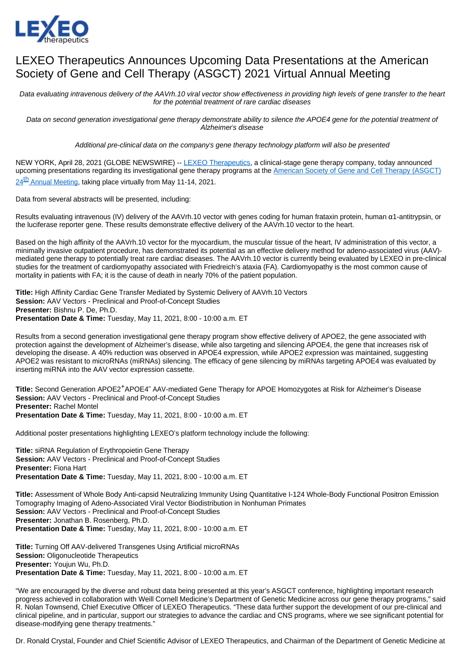

## LEXEO Therapeutics Announces Upcoming Data Presentations at the American Society of Gene and Cell Therapy (ASGCT) 2021 Virtual Annual Meeting

Data evaluating intravenous delivery of the AAVrh.10 viral vector show effectiveness in providing high levels of gene transfer to the heart for the potential treatment of rare cardiac diseases

Data on second generation investigational gene therapy demonstrate ability to silence the APOE4 gene for the potential treatment of Alzheimer's disease

Additional pre-clinical data on the company's gene therapy technology platform will also be presented

NEW YORK, April 28, 2021 (GLOBE NEWSWIRE) -- [LEXEO Therapeutics,](https://www.lexeotx.com/) a clinical-stage gene therapy company, today announced upcoming presentations regarding its investigational gene therapy programs at the American Society of Gene and Cell Therapy (ASGCT) [24](https://annualmeeting.asgct.org/)<sup>[th](https://annualmeeting.asgct.org/)</sup> [Annual Meeting,](https://annualmeeting.asgct.org/) taking place virtually from May 11-14, 2021.

Data from several abstracts will be presented, including:

Results evaluating intravenous (IV) delivery of the AAVrh.10 vector with genes coding for human frataxin protein, human α1-antitrypsin, or the luciferase reporter gene. These results demonstrate effective delivery of the AAVrh.10 vector to the heart.

Based on the high affinity of the AAVrh.10 vector for the myocardium, the muscular tissue of the heart, IV administration of this vector, a minimally invasive outpatient procedure, has demonstrated its potential as an effective delivery method for adeno-associated virus (AAV) mediated gene therapy to potentially treat rare cardiac diseases. The AAVrh.10 vector is currently being evaluated by LEXEO in pre-clinical studies for the treatment of cardiomyopathy associated with Friedreich's ataxia (FA). Cardiomyopathy is the most common cause of mortality in patients with FA; it is the cause of death in nearly 70% of the patient population.

**Title:** High Affinity Cardiac Gene Transfer Mediated by Systemic Delivery of AAVrh.10 Vectors **Session:** AAV Vectors - Preclinical and Proof-of-Concept Studies **Presenter:** Bishnu P. De, Ph.D. **Presentation Date & Time:** Tuesday, May 11, 2021, 8:00 - 10:00 a.m. ET

Results from a second generation investigational gene therapy program show effective delivery of APOE2, the gene associated with protection against the development of Alzheimer's disease, while also targeting and silencing APOE4, the gene that increases risk of developing the disease. A 40% reduction was observed in APOE4 expression, while APOE2 expression was maintained, suggesting APOE2 was resistant to microRNAs (miRNAs) silencing. The efficacy of gene silencing by miRNAs targeting APOE4 was evaluated by inserting miRNA into the AAV vector expression cassette.

Title: Second Generation APOE2<sup>+</sup>APOE4<sup>-</sup> AAV-mediated Gene Therapy for APOE Homozygotes at Risk for Alzheimer's Disease **Session:** AAV Vectors - Preclinical and Proof-of-Concept Studies **Presenter:** Rachel Montel **Presentation Date & Time:** Tuesday, May 11, 2021, 8:00 - 10:00 a.m. ET

Additional poster presentations highlighting LEXEO's platform technology include the following:

**Title:** siRNA Regulation of Erythropoietin Gene Therapy **Session:** AAV Vectors - Preclinical and Proof-of-Concept Studies **Presenter:** Fiona Hart **Presentation Date & Time:** Tuesday, May 11, 2021, 8:00 - 10:00 a.m. ET

**Title:** Assessment of Whole Body Anti-capsid Neutralizing Immunity Using Quantitative I-124 Whole-Body Functional Positron Emission Tomography Imaging of Adeno-Associated Viral Vector Biodistribution in Nonhuman Primates **Session:** AAV Vectors - Preclinical and Proof-of-Concept Studies **Presenter:** Jonathan B. Rosenberg, Ph.D. **Presentation Date & Time:** Tuesday, May 11, 2021, 8:00 - 10:00 a.m. ET

**Title:** Turning Off AAV-delivered Transgenes Using Artificial microRNAs **Session: Oligonucleotide Therapeutics Presenter:** Youjun Wu, Ph.D. **Presentation Date & Time:** Tuesday, May 11, 2021, 8:00 - 10:00 a.m. ET

"We are encouraged by the diverse and robust data being presented at this year's ASGCT conference, highlighting important research progress achieved in collaboration with Weill Cornell Medicine's Department of Genetic Medicine across our gene therapy programs," said R. Nolan Townsend, Chief Executive Officer of LEXEO Therapeutics. "These data further support the development of our pre-clinical and clinical pipeline, and in particular, support our strategies to advance the cardiac and CNS programs, where we see significant potential for disease-modifying gene therapy treatments."

Dr. Ronald Crystal, Founder and Chief Scientific Advisor of LEXEO Therapeutics, and Chairman of the Department of Genetic Medicine at